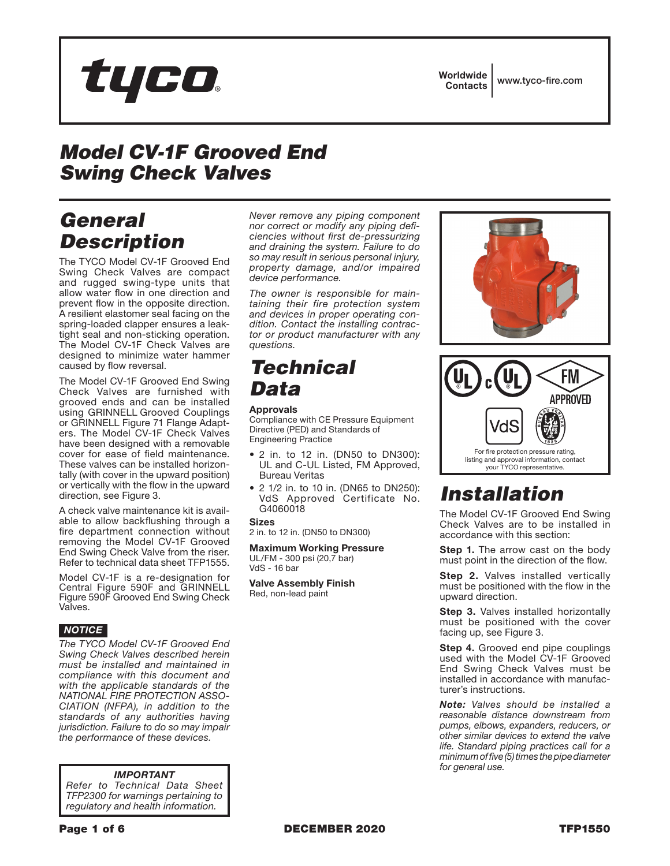

**Worldwide** Contacts www.tyco-fire.com

# *Model CV-1F Grooved End Swing Check Valves*

# *General Description*

The TYCO Model CV-1F Grooved End Swing Check Valves are compact and rugged swing-type units that allow water flow in one direction and prevent flow in the opposite direction. A resilient elastomer seal facing on the spring-loaded clapper ensures a leaktight seal and non-sticking operation. The Model CV-1F Check Valves are designed to minimize water hammer caused by flow reversal.

The Model CV-1F Grooved End Swing Check Valves are furnished with grooved ends and can be installed using GRINNELL Grooved Couplings or GRINNELL Figure 71 Flange Adapters. The Model CV-1F Check Valves have been designed with a removable cover for ease of field maintenance. These valves can be installed horizontally (with cover in the upward position) or vertically with the flow in the upward direction, see Figure 3.

A check valve maintenance kit is available to allow backflushing through a fire department connection without removing the Model CV-1F Grooved End Swing Check Valve from the riser. Refer to technical data sheet TFP1555.

Model CV-1F is a re-designation for Central Figure 590F and GRINNELL Figure 590F Grooved End Swing Check Valves.

### *NOTICE*

*The TYCO Model CV-1F Grooved End Swing Check Valves described herein must be installed and maintained in compliance with this document and with the applicable standards of the NATIONAL FIRE PROTECTION ASSO-CIATION (NFPA), in addition to the standards of any authorities having jurisdiction. Failure to do so may impair the performance of these devices.*

#### *IMPORTANT*

*Refer to Technical Data Sheet TFP2300 for warnings pertaining to regulatory and health information.*

*Never remove any piping component nor correct or modify any piping deficiencies without first de-pressurizing and draining the system. Failure to do so may result in serious personal injury, property damage, and/or impaired device performance.*

*The owner is responsible for maintaining their fire protection system and devices in proper operating condition. Contact the installing contractor or product manufacturer with any questions.*

### *Technical Data*

#### Approvals

Compliance with CE Pressure Equipment Directive (PED) and Standards of Engineering Practice

- 2 in. to 12 in. (DN50 to DN300): UL and C-UL Listed, FM Approved, Bureau Veritas
- 2 1/2 in. to 10 in. (DN65 to DN250): VdS Approved Certificate No. G4060018

Sizes

2 in. to 12 in. (DN50 to DN300)

Maximum Working Pressure UL/FM - 300 psi (20,7 bar) VdS - 16 bar

Valve Assembly Finish Red, non-lead paint





# *Installation*

The Model CV-1F Grooved End Swing Check Valves are to be installed in accordance with this section:

**Step 1.** The arrow cast on the body must point in the direction of the flow.

**Step 2.** Valves installed vertically must be positioned with the flow in the upward direction.

**Step 3.** Valves installed horizontally must be positioned with the cover facing up, see Figure 3.

**Step 4.** Grooved end pipe couplings used with the Model CV-1F Grooved End Swing Check Valves must be installed in accordance with manufacturer's instructions.

*Note: Valves should be installed a reasonable distance downstream from pumps, elbows, expanders, reducers, or other similar devices to extend the valve life. Standard piping practices call for a minimum of five (5) times the pipe diameter for general use.*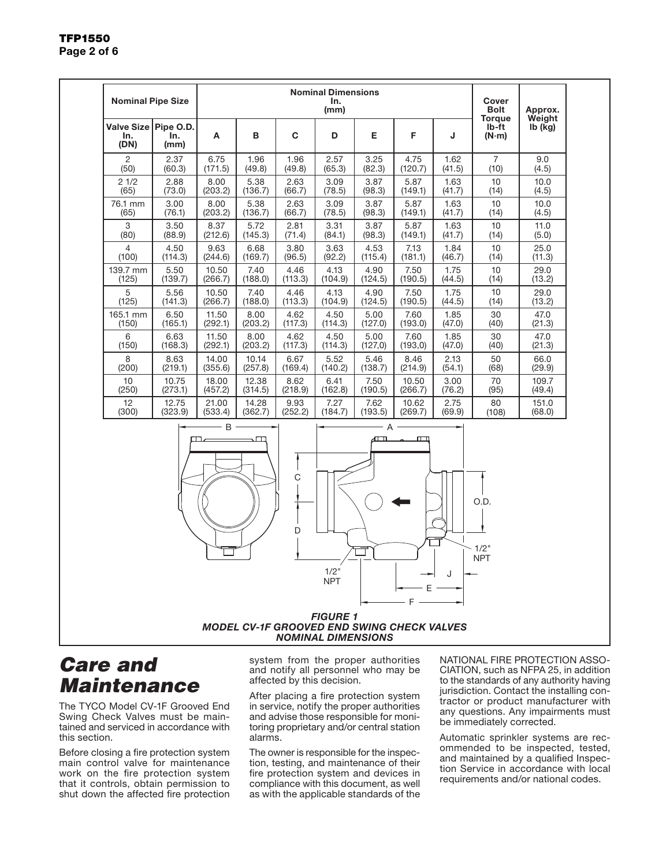#### Nominal Pipe Size Nominal Dimensions In. (mm) Cover Bolt **Torque** lb-ft (N·m) Approx. Weight Valve Size lb (kg) Pipe O.D. In. (DN) In. (mm) A | B | C | D | E | F | J  $\mathfrak{p}$  $(50)$ 2.37  $(60.3)$ 6.75  $(171.5)$ 1.96 (49.8) 1.96  $(49.8)$ 2.57  $(65.3)$ 3.25 (82.3) 4.75  $(120.7)$ 1.62 (41.5) 7  $(10)$ 9.0  $(4.5)$ 2 1/2 (65) 2.88 (73.0) 8.00 (203.2) 5.38 (136.7) 2.63 (66.7) 3.09 (78.5) 3.87 (98.3) 5.87 (149.1) 1.63 (41.7) 10  $(14)$ 10.0 (4.5) 76.1 mm (65) 3.00 (76.1) 8.00 (203.2) 5.38 (136.7) 2.63 (66.7) 3.09 (78.5) 3.87 (98.3) 5.87 (149.1) 1.63 (41.7) 10 (14) 10.0 (4.5) 3  $(80)$ 3.50 (88.9) 8.37 (212.6) 5.72  $(145.3)$ 2.81  $(71.4)$ 3.31 (84.1) 3.87 (98.3) 5.87  $(149.1)$ 1.63 (41.7) 10  $(14)$ 11.0 (5.0) 4 (100) 4.50 (114.3) 9.63 (244.6) 6.68 (169.7) 3.80 (96.5) 3.63 (92.2) 4.53 (115.4) 7.13 (181.1) 1.84 (46.7) 10 (14) 25.0 (11.3) 139.7 mm (125) 5.50 (139.7) 10.50 (266.7) 7.40 (188.0) 4.46 (113.3) 4.13 (104.9)  $4.90$ (124.5) 7.50 (190.5) 1.75 (44.5)  $10$ (14) 29.0 (13.2) 5 (125) 5.56  $(141.3)$ 10.50 (266.7) 7.40  $(188.0)$ 4.46 (113.3) 4.13  $(104.9)$ 4.90  $(124.5)$ 7.50 (190.5) 1.75  $(44.5)$ 10  $(14)$ 29.0  $(13.2)$ 165.1 mm (150) 6.50  $(165.1)$ 11.50 (292.1) 8.00 (203.2) 4.62  $(117.3)$ 4.50  $(114.3)$ 5.00 (127.0) 7.60  $(193.0)$ 1.85  $(47.0)$ 30  $(40)$ 47.0 (21.3) 6 (150) 6.63 (168.3) 11.50 (292.1)  $8.00$ (203.2) 4.62 (117.3) 4.50 (114.3) 5.00 (127,0) 7.60 (193,0) 1.85 (47.0)  $30$ (40)  $47.0$ (21.3) 8  $(200)$ 8.63 (219.1) 14.00 (355.6) 10.14 (257.8) 6.67 (169.4) 5.52  $(140.2)$ 5.46 (138.7) 8.46 (214.9) 2.13 (54.1) 50 (68) 66.0 (29.9) 10  $(250)$ 10.75 (273.1) 18.00 (457.2) 12.38  $(314.5)$ 8.62  $(218.9)$ 6.41  $(162.8)$ 7.50  $(190.5)$ 10.50 (266.7) 3.00 (76.2) 70  $(95)$ 109.7 (49.4)  $12$ (300) 12.75 (323.9) 21.00 (533.4) 14.28 (362.7) 9.93 (252.2) 7.27 (184.7) 7.62 (193.5)  $10.62$ (269.7) 2.75 (69.9)  $\overline{80}$ (108)  $151.0$ (68.0)  $\mathsf{B} \longrightarrow \mathsf{B} \longrightarrow \mathsf{B}$



### *MODEL CV-1F GROOVED END SWING CHECK VALVES NOMINAL DIMENSIONS*

# *Care and Maintenance*

The TYCO Model CV-1F Grooved End Swing Check Valves must be maintained and serviced in accordance with this section.

Before closing a fire protection system main control valve for maintenance work on the fire protection system that it controls, obtain permission to shut down the affected fire protection system from the proper authorities and notify all personnel who may be affected by this decision.

After placing a fire protection system in service, notify the proper authorities and advise those responsible for monitoring proprietary and/or central station alarms.

The owner is responsible for the inspection, testing, and maintenance of their fire protection system and devices in compliance with this document, as well as with the applicable standards of the NATIONAL FIRE PROTECTION ASSO-CIATION, such as NFPA 25, in addition to the standards of any authority having jurisdiction. Contact the installing contractor or product manufacturer with any questions. Any impairments must be immediately corrected.

Automatic sprinkler systems are recommended to be inspected, tested, and maintained by a qualified Inspection Service in accordance with local requirements and/or national codes.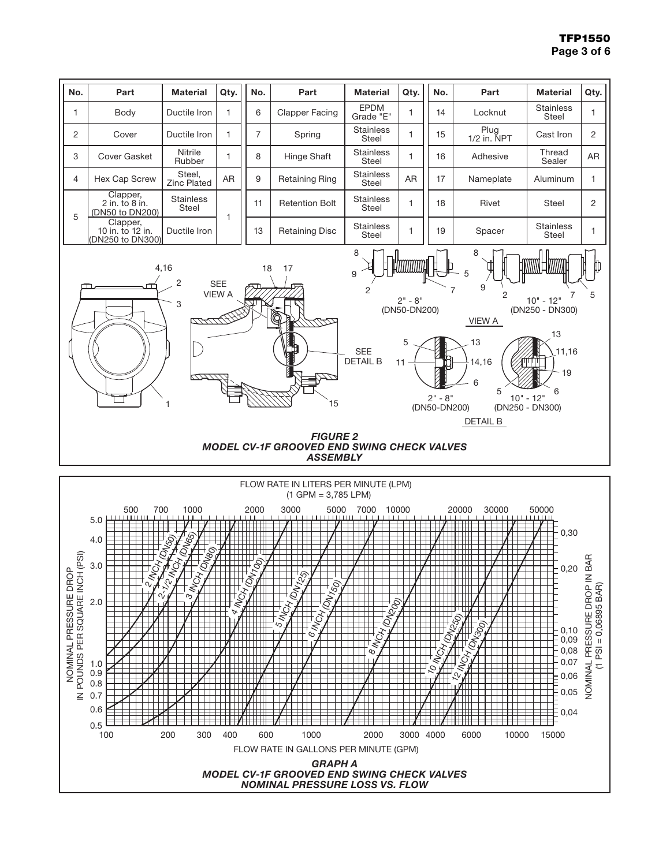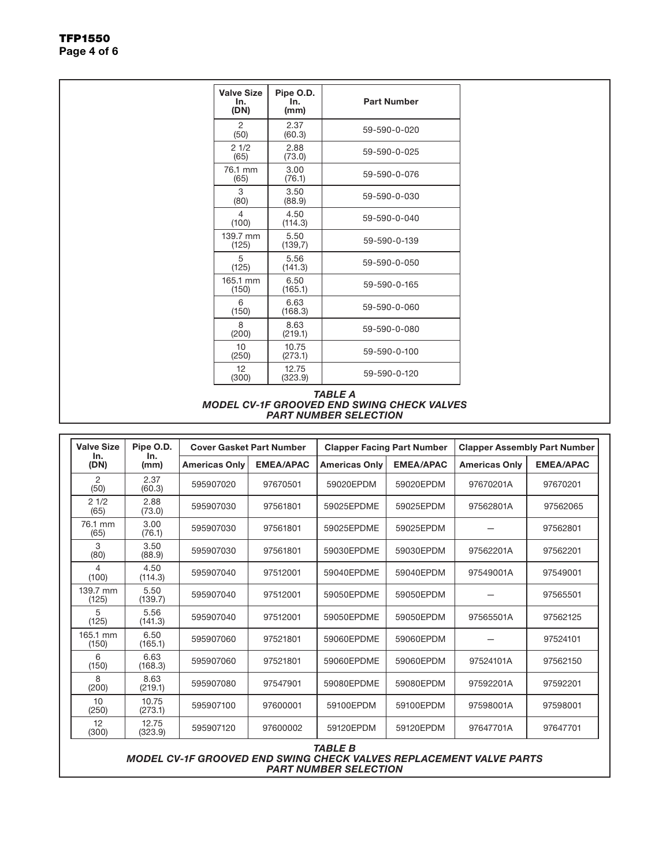| <b>Valve Size</b><br>In.<br>(DN) | Pipe O.D.<br>In.<br>(mm) | <b>Part Number</b> |  |  |
|----------------------------------|--------------------------|--------------------|--|--|
| 2<br>(50)                        | 2.37<br>(60.3)           | 59-590-0-020       |  |  |
| 21/2<br>(65)                     | 2.88<br>(73.0)           | 59-590-0-025       |  |  |
| 76.1 mm<br>(65)                  | 3.00<br>(76.1)           | 59-590-0-076       |  |  |
| 3<br>(80)                        | 3.50<br>(88.9)           | 59-590-0-030       |  |  |
| 4<br>(100)                       | 4.50<br>(114.3)          | 59-590-0-040       |  |  |
| 139.7 mm<br>(125)                | 5.50<br>(139,7)          | 59-590-0-139       |  |  |
| 5<br>(125)                       | 5.56<br>(141.3)          | 59-590-0-050       |  |  |
| 165.1 mm<br>(150)                | 6.50<br>(165.1)          | 59-590-0-165       |  |  |
| 6<br>(150)                       | 6.63<br>(168.3)          | 59-590-0-060       |  |  |
| 8<br>(200)                       | 8.63<br>(219.1)          | 59-590-0-080       |  |  |
| 10<br>(250)                      | 10.75<br>(273.1)         | 59-590-0-100       |  |  |
| 12<br>(300)                      | 12.75<br>(323.9)         | 59-590-0-120       |  |  |

#### *TABLE A MODEL CV-1F GROOVED END SWING CHECK VALVES PART NUMBER SELECTION*

| <b>Valve Size</b><br>In.<br>In.<br>(DN) | Pipe O.D.        | <b>Cover Gasket Part Number</b> |                  | <b>Clapper Facing Part Number</b> |                  | <b>Clapper Assembly Part Number</b> |                  |
|-----------------------------------------|------------------|---------------------------------|------------------|-----------------------------------|------------------|-------------------------------------|------------------|
|                                         | (mm)             | <b>Americas Only</b>            | <b>EMEA/APAC</b> | <b>Americas Only</b>              | <b>EMEA/APAC</b> | <b>Americas Only</b>                | <b>EMEA/APAC</b> |
| 2<br>(50)                               | 2.37<br>(60.3)   | 595907020                       | 97670501         | 59020EPDM                         | 59020EPDM        | 97670201A                           | 97670201         |
| 21/2<br>(65)                            | 2.88<br>(73.0)   | 595907030                       | 97561801         | 59025EPDME                        | 59025EPDM        | 97562801A                           | 97562065         |
| 76.1 mm<br>(65)                         | 3.00<br>(76.1)   | 595907030                       | 97561801         | 59025EPDME                        | 59025EPDM        |                                     | 97562801         |
| 3<br>(80)                               | 3.50<br>(88.9)   | 595907030                       | 97561801         | 59030EPDME                        | 59030EPDM        | 97562201A                           | 97562201         |
| 4<br>(100)                              | 4.50<br>(114.3)  | 595907040                       | 97512001         | 59040EPDME                        | 59040EPDM        | 97549001A                           | 97549001         |
| 139.7 mm<br>(125)                       | 5.50<br>(139.7)  | 595907040                       | 97512001         | 59050EPDME                        | 59050EPDM        |                                     | 97565501         |
| 5<br>(125)                              | 5.56<br>(141.3)  | 595907040                       | 97512001         | 59050EPDME                        | 59050EPDM        | 97565501A                           | 97562125         |
| 165.1 mm<br>(150)                       | 6.50<br>(165.1)  | 595907060                       | 97521801         | 59060EPDME                        | 59060EPDM        |                                     | 97524101         |
| 6<br>(150)                              | 6.63<br>(168.3)  | 595907060                       | 97521801         | 59060EPDME                        | 59060EPDM        | 97524101A                           | 97562150         |
| 8<br>(200)                              | 8.63<br>(219.1)  | 595907080                       | 97547901         | 59080EPDME                        | 59080EPDM        | 97592201A                           | 97592201         |
| 10<br>(250)                             | 10.75<br>(273.1) | 595907100                       | 97600001         | 59100EPDM                         | 59100EPDM        | 97598001A                           | 97598001         |
| 12<br>(300)                             | 12.75<br>(323.9) | 595907120                       | 97600002         | 59120EPDM                         | 59120EPDM        | 97647701A                           | 97647701         |

#### *TABLE B MODEL CV-1F GROOVED END SWING CHECK VALVES REPLACEMENT VALVE PARTS PART NUMBER SELECTION*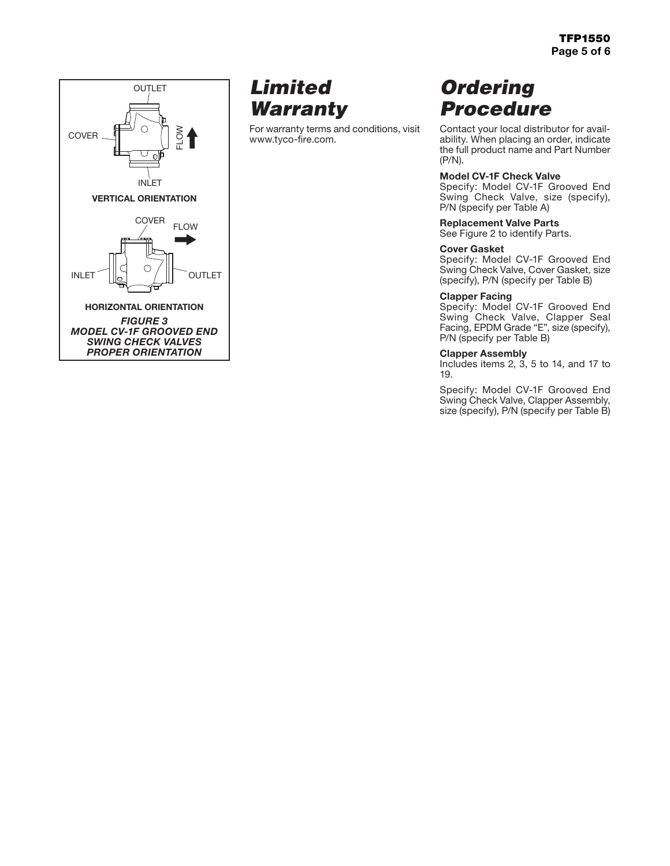

# *Limited Warranty*

For warranty terms and conditions, visit www.tyco-fire.com.

# *Ordering Procedure*

Contact your local distributor for availability. When placing an order, indicate the full product name and Part Number (P/N).

### Model CV-1F Check Valve

Specify: Model CV-1F Grooved End Swing Check Valve, size (specify), P/N (specify per Table A)

### Replacement Valve Parts

See Figure 2 to identify Parts.

### Cover Gasket

Specify: Model CV-1F Grooved End Swing Check Valve, Cover Gasket, size (specify), P/N (specify per Table B)

### Clapper Facing

Specify: Model CV-1F Grooved End Swing Check Valve, Clapper Seal Facing, EPDM Grade "E", size (specify), P/N (specify per Table B)

### Clapper Assembly

Includes items 2, 3, 5 to 14, and 17 to 19.

Specify: Model CV-1F Grooved End Swing Check Valve, Clapper Assembly, size (specify), P/N (specify per Table B)